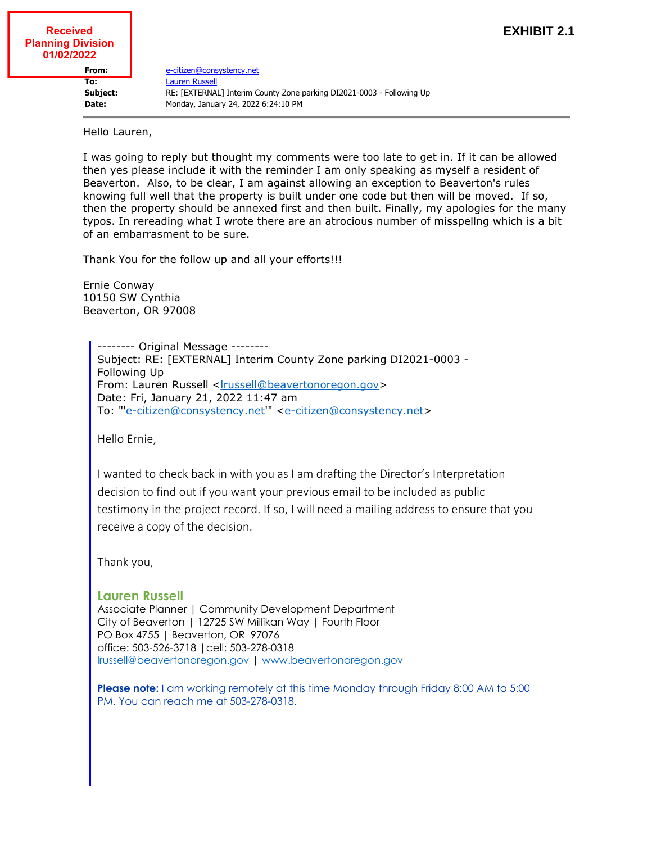## **Received Planning Division 01/02/2022**

**From:** [e-citizen@consystency.net](mailto:e-citizen@consystency.net) **To:** [Lauren Russell](mailto:lrussell@beavertonoregon.gov) **Subject:** RE: [EXTERNAL] Interim County Zone parking DI2021-0003 - Following Up **Date:** Monday, January 24, 2022 6:24:10 PM

Hello Lauren,

I was going to reply but thought my comments were too late to get in. If it can be allowed then yes please include it with the reminder I am only speaking as myself a resident of Beaverton. Also, to be clear, I am against allowing an exception to Beaverton's rules knowing full well that the property is built under one code but then will be moved. If so, then the property should be annexed first and then built. Finally, my apologies for the many typos. In rereading what I wrote there are an atrocious number of misspellng which is a bit of an embarrasment to be sure.

Thank You for the follow up and all your efforts!!!

Ernie Conway 10150 SW Cynthia Beaverton, OR 97008

> -------- Original Message -------- Subject: RE: [EXTERNAL] Interim County Zone parking DI2021-0003 - Following Up From: Lauren Russell [<lrussell@beavertonoregon.gov](mailto:lrussell@beavertonoregon.gov)> Date: Fri, January 21, 2022 11:47 am To: "'[e-citizen@consystency.net](mailto:e-citizen@consystency.net)'" [<e-citizen@consystency.net](mailto:e-citizen@consystency.net)>

Hello Ernie,

I wanted to check back in with you as I am drafting the Director's Interpretation decision to find out if you want your previous email to be included as public testimony in the project record. If so, I will need a mailing address to ensure that you receive a copy of the decision.

Thank you,

## **Lauren Russell**

Associate Planner | Community Development Department City of Beaverton | 12725 SW Millikan Way | Fourth Floor PO Box 4755 | Beaverton, OR 97076 office: 503-526-3718 |cell: 503-278-0318 [lrussell@beavertonoregon.gov](mailto:lrussell@beavertonoregon.gov) | [www.beavertonoregon.gov](http://www.beavertonoregon.gov/)

**Please note:** I am working remotely at this time Monday through Friday 8:00 AM to 5:00 PM. You can reach me at 503-278-0318.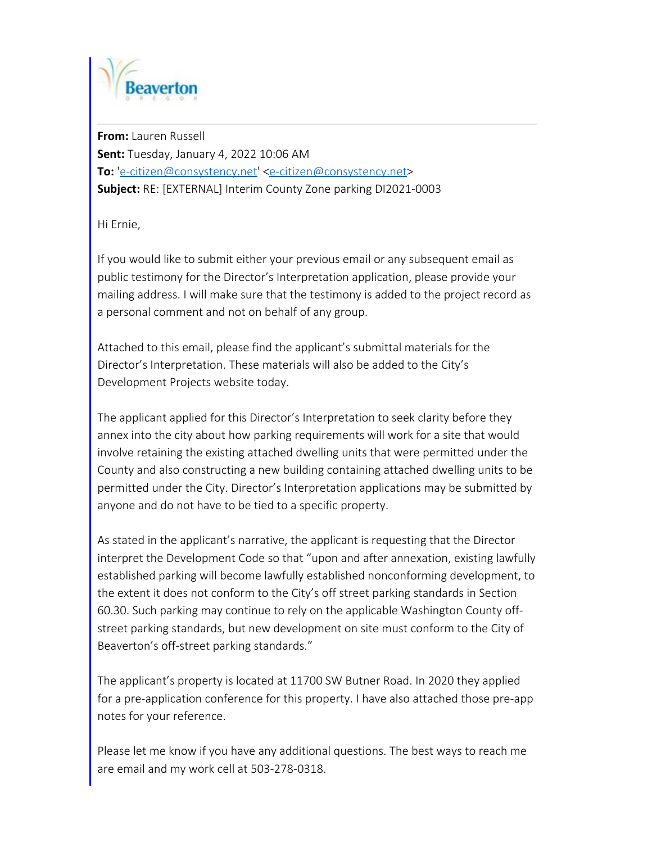

**From:** Lauren Russell **Sent:** Tuesday, January 4, 2022 10:06 AM **To:** '[e-citizen@consystency.net](mailto:e-citizen@consystency.net)' <[e-citizen@consystency.net](mailto:e-citizen@consystency.net)> **Subject:** RE: [EXTERNAL] Interim County Zone parking DI2021-0003

Hi Ernie,

If you would like to submit either your previous email or any subsequent email as public testimony for the Director's Interpretation application, please provide your mailing address. I will make sure that the testimony is added to the project record as a personal comment and not on behalf of any group.

Attached to this email, please find the applicant's submittal materials for the Director's Interpretation. These materials will also be added to the City's Development Projects website today.

The applicant applied for this Director's Interpretation to seek clarity before they annex into the city about how parking requirements will work for a site that would involve retaining the existing attached dwelling units that were permitted under the County and also constructing a new building containing attached dwelling units to be permitted under the City. Director's Interpretation applications may be submitted by anyone and do not have to be tied to a specific property.

As stated in the applicant's narrative, the applicant is requesting that the Director interpret the Development Code so that "upon and after annexation, existing lawfully established parking will become lawfully established nonconforming development, to the extent it does not conform to the City's off street parking standards in Section 60.30. Such parking may continue to rely on the applicable Washington County offstreet parking standards, but new development on site must conform to the City of Beaverton's off-street parking standards."

The applicant's property is located at 11700 SW Butner Road. In 2020 they applied for a pre-application conference for this property. I have also attached those pre-app notes for your reference.

Please let me know if you have any additional questions. The best ways to reach me are email and my work cell at 503-278-0318.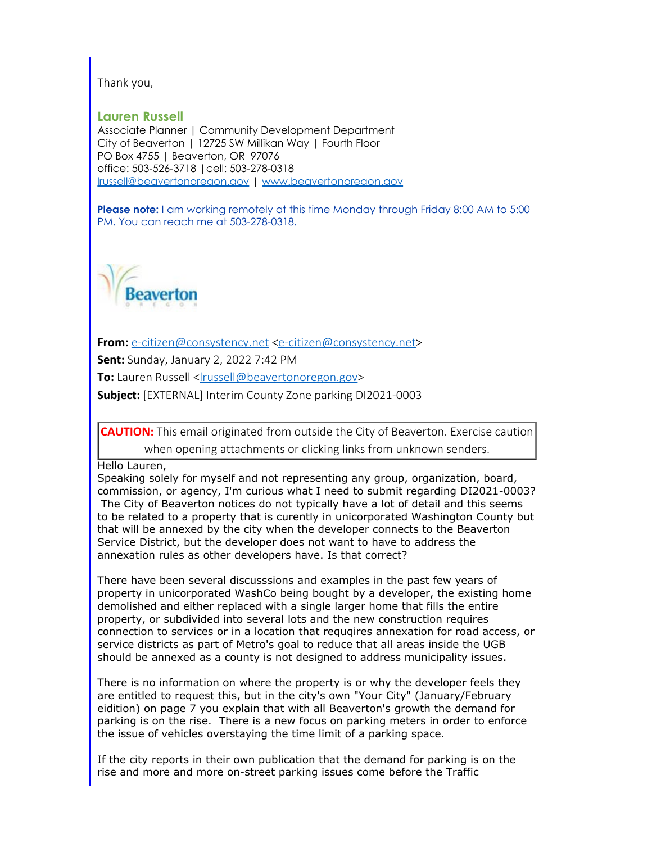Thank you,

**Lauren Russell**

Associate Planner | Community Development Department City of Beaverton | 12725 SW Millikan Way | Fourth Floor PO Box 4755 | Beaverton, OR 97076 office: 503-526-3718 |cell: 503-278-0318 [lrussell@beavertonoregon.gov](mailto:lrussell@beavertonoregon.gov) | [www.beavertonoregon.gov](http://www.beavertonoregon.gov/)

**Please note:** I am working remotely at this time Monday through Friday 8:00 AM to 5:00 PM. You can reach me at 503-278-0318.



**From:** [e-citizen@consystency.net](mailto:e-citizen@consystency.net) [<e-citizen@consystency.net](mailto:e-citizen@consystency.net)>

**Sent:** Sunday, January 2, 2022 7:42 PM

**To:** Lauren Russell <[lrussell@beavertonoregon.gov](mailto:lrussell@beavertonoregon.gov)>

**Subject:** [EXTERNAL] Interim County Zone parking DI2021-0003

**CAUTION:** This email originated from outside the City of Beaverton. Exercise caution when opening attachments or clicking links from unknown senders.

Hello Lauren,

Speaking solely for myself and not representing any group, organization, board, commission, or agency, I'm curious what I need to submit regarding DI2021-0003? The City of Beaverton notices do not typically have a lot of detail and this seems to be related to a property that is curently in unicorporated Washington County but that will be annexed by the city when the developer connects to the Beaverton Service District, but the developer does not want to have to address the annexation rules as other developers have. Is that correct?

There have been several discusssions and examples in the past few years of property in unicorporated WashCo being bought by a developer, the existing home demolished and either replaced with a single larger home that fills the entire property, or subdivided into several lots and the new construction requires connection to services or in a location that requqires annexation for road access, or service districts as part of Metro's goal to reduce that all areas inside the UGB should be annexed as a county is not designed to address municipality issues.

There is no information on where the property is or why the developer feels they are entitled to request this, but in the city's own "Your City" (January/February eidition) on page 7 you explain that with all Beaverton's growth the demand for parking is on the rise. There is a new focus on parking meters in order to enforce the issue of vehicles overstaying the time limit of a parking space.

If the city reports in their own publication that the demand for parking is on the rise and more and more on-street parking issues come before the Traffic